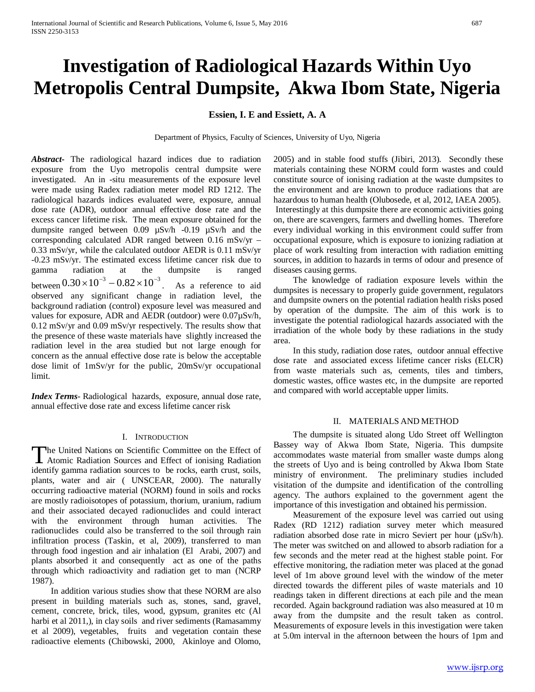# **Investigation of Radiological Hazards Within Uyo Metropolis Central Dumpsite, Akwa Ibom State, Nigeria**

## **Essien, I. E and Essiett, A. A**

Department of Physics, Faculty of Sciences, University of Uyo, Nigeria

*Abstract***-** The radiological hazard indices due to radiation exposure from the Uyo metropolis central dumpsite were investigated. An in -situ measurements of the exposure level were made using Radex radiation meter model RD 1212. The radiological hazards indices evaluated were, exposure, annual dose rate (ADR), outdoor annual effective dose rate and the excess cancer lifetime risk. The mean exposure obtained for the dumpsite ranged between 0.09 µSv/h -0.19 µSv/h and the corresponding calculated ADR ranged between 0.16 mSv/yr – 0.33 mSv/yr, while the calculated outdoor AEDR is 0.11 mSv/yr -0.23 mSv/yr. The estimated excess lifetime cancer risk due to gamma radiation at the dumpsite is ranged between  $0.30 \times 10^{-3} - 0.82 \times 10^{-3}$ . As a reference to aid observed any significant change in radiation level, the background radiation (control) exposure level was measured and values for exposure, ADR and AEDR (outdoor) were 0.07µSv/h, 0.12 mSv/yr and 0.09 mSv/yr respectively. The results show that the presence of these waste materials have slightly increased the radiation level in the area studied but not large enough for concern as the annual effective dose rate is below the acceptable dose limit of 1mSv/yr for the public, 20mSv/yr occupational limit.

*Index Terms*- Radiological hazards, exposure, annual dose rate, annual effective dose rate and excess lifetime cancer risk

## I. INTRODUCTION

The United Nations on Scientific Committee on the Effect of The United Nations on Scientific Committee on the Effect of<br>Atomic Radiation Sources and Effect of ionising Radiation identify gamma radiation sources to be rocks, earth crust, soils, plants, water and air ( UNSCEAR, 2000). The naturally occurring radioactive material (NORM) found in soils and rocks are mostly radioisotopes of potassium, thorium, uranium, radium and their associated decayed radionuclides and could interact with the environment through human activities. The radionuclides could also be transferred to the soil through rain infiltration process (Taskin, et al, 2009), transferred to man through food ingestion and air inhalation (El Arabi, 2007) and plants absorbed it and consequently act as one of the paths through which radioactivity and radiation get to man (NCRP 1987).

 In addition various studies show that these NORM are also present in building materials such as, stones, sand, gravel, cement, concrete, brick, tiles, wood, gypsum, granites etc (Al harbi et al 2011,), in clay soils and river sediments (Ramasammy et al 2009), vegetables, fruits and vegetation contain these radioactive elements (Chibowski, 2000, Akinloye and Olomo,

2005) and in stable food stuffs (Jibiri, 2013). Secondly these materials containing these NORM could form wastes and could constitute source of ionising radiation at the waste dumpsites to the environment and are known to produce radiations that are hazardous to human health (Olubosede, et al, 2012, IAEA 2005). Interestingly at this dumpsite there are economic activities going on, there are scavengers, farmers and dwelling homes. Therefore every individual working in this environment could suffer from occupational exposure, which is exposure to ionizing radiation at place of work resulting from interaction with radiation emitting sources, in addition to hazards in terms of odour and presence of diseases causing germs.

 The knowledge of radiation exposure levels within the dumpsites is necessary to properly guide government, regulators and dumpsite owners on the potential radiation health risks posed by operation of the dumpsite. The aim of this work is to investigate the potential radiological hazards associated with the irradiation of the whole body by these radiations in the study area.

 In this study, radiation dose rates, outdoor annual effective dose rate and associated excess lifetime cancer risks (ELCR) from waste materials such as, cements, tiles and timbers, domestic wastes, office wastes etc, in the dumpsite are reported and compared with world acceptable upper limits.

### II. MATERIALS AND METHOD

 The dumpsite is situated along Udo Street off Wellington Bassey way of Akwa Ibom State, Nigeria. This dumpsite accommodates waste material from smaller waste dumps along the streets of Uyo and is being controlled by Akwa Ibom State ministry of environment. The preliminary studies included visitation of the dumpsite and identification of the controlling agency. The authors explained to the government agent the importance of this investigation and obtained his permission.

 Measurement of the exposure level was carried out using Radex (RD 1212) radiation survey meter which measured radiation absorbed dose rate in micro Seviert per hour (µSv/h). The meter was switched on and allowed to absorb radiation for a few seconds and the meter read at the highest stable point. For effective monitoring, the radiation meter was placed at the gonad level of 1m above ground level with the window of the meter directed towards the different piles of waste materials and 10 readings taken in different directions at each pile and the mean recorded. Again background radiation was also measured at 10 m away from the dumpsite and the result taken as control. Measurements of exposure levels in this investigation were taken at 5.0m interval in the afternoon between the hours of 1pm and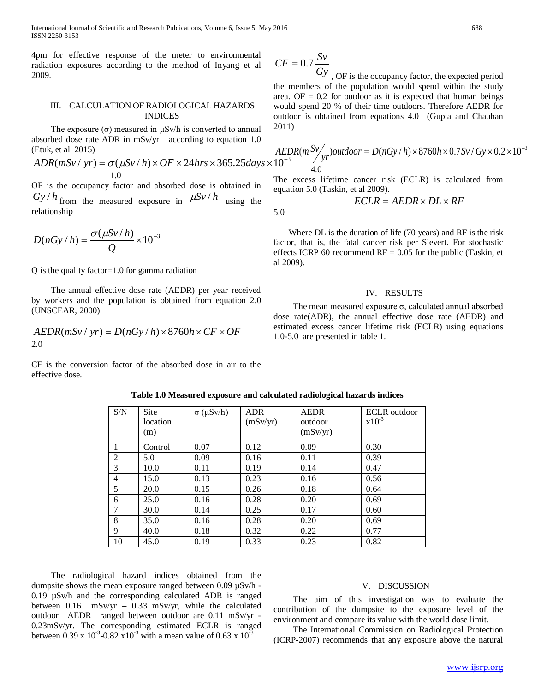International Journal of Scientific and Research Publications, Volume 6, Issue 5, May 2016 688 ISSN 2250-3153

4pm for effective response of the meter to environmental radiation exposures according to the method of Inyang et al 2009.

#### III. CALCULATION OF RADIOLOGICAL HAZARDS INDICES

The exposure  $(\sigma)$  measured in  $\mu$ Sv/h is converted to annual absorbed dose rate ADR in mSv/yr according to equation 1.0 (Etuk, et al 2015)

$$
ADR(mSv / yr) = \sigma(\mu Sv / h) \times OF \times 24 hrs \times 365.25 days \times 10^{-3}
$$
  
1.0  
The excess lifetime cancer risk (ECT R) is calculated from

OF is the occupancy factor and absorbed dose is obtained in  $Gy/h$  from the measured exposure in  $\mu Sv/h$  using the relationship

$$
D(nGy/h) = \frac{\sigma(\mu Sv/h)}{Q} \times 10^{-3}
$$

Q is the quality factor=1.0 for gamma radiation

 The annual effective dose rate (AEDR) per year received by workers and the population is obtained from equation 2.0 (UNSCEAR, 2000)

$$
AEDR(mSv / yr) = D(nGy / h) \times 8760h \times CF \times OF
$$
  
2.0

CF is the conversion factor of the absorbed dose in air to the effective dose.

| S/N            | Site<br>location<br>(m) | $\sigma$ ( $\mu$ Sv/h) | <b>ADR</b><br>(mSv/yr) | <b>AEDR</b><br>outdoor<br>(mSv/yr) | ECLR outdoor<br>$x10^{-3}$ |
|----------------|-------------------------|------------------------|------------------------|------------------------------------|----------------------------|
|                | Control                 | 0.07                   | 0.12                   | 0.09                               | 0.30                       |
| 2              | 5.0                     | 0.09                   | 0.16                   | 0.11                               | 0.39                       |
| 3              | 10.0                    | 0.11                   | 0.19                   | 0.14                               | 0.47                       |
| $\overline{4}$ | 15.0                    | 0.13                   | 0.23                   | 0.16                               | 0.56                       |
| 5              | 20.0                    | 0.15                   | 0.26                   | 0.18                               | 0.64                       |
| 6              | 25.0                    | 0.16                   | 0.28                   | 0.20                               | 0.69                       |
| 7              | 30.0                    | 0.14                   | 0.25                   | 0.17                               | 0.60                       |
| 8              | 35.0                    | 0.16                   | 0.28                   | 0.20                               | 0.69                       |
| 9              | 40.0                    | 0.18                   | 0.32                   | 0.22                               | 0.77                       |
| 10             | 45.0                    | 0.19                   | 0.33                   | 0.23                               | 0.82                       |

**Table 1.0 Measured exposure and calculated radiological hazards indices**

 The radiological hazard indices obtained from the dumpsite shows the mean exposure ranged between 0.09 µSv/h - 0.19 µSv/h and the corresponding calculated ADR is ranged between 0.16 mSv/yr – 0.33 mSv/yr, while the calculated outdoor AEDR ranged between outdoor are 0.11 mSv/yr - 0.23mSv/yr. The corresponding estimated ECLR is ranged between 0.39 x  $10^{-3}$ -0.82 x  $10^{-3}$  with a mean value of 0.63 x  $10^{-3}$ 

$$
CF = 0.7 \frac{Sv}{Gv}
$$

*Gy* , OF is the occupancy factor, the expected period the members of the population would spend within the study area.  $OF = 0.2$  for outdoor as it is expected that human beings would spend 20 % of their time outdoors. Therefore AEDR for outdoor is obtained from equations 4.0 (Gupta and Chauhan 2011)

$$
\frac{AEDR(m^{SV})}{10^{-3}}yr^{3}outdoor = D(nGy/h) \times 8760h \times 0.7Sv / Gy \times 0.2 \times 10^{-3}
$$

The excess lifetime cancer risk (ECLR) is calculated from equation 5.0 (Taskin, et al 2009).

$$
ECLR = AEDR \times DL \times RF
$$
5.0

 Where DL is the duration of life (70 years) and RF is the risk factor, that is, the fatal cancer risk per Sievert. For stochastic effects ICRP 60 recommend  $RF = 0.05$  for the public (Taskin, et al 2009).

#### IV. RESULTS

 The mean measured exposure σ, calculated annual absorbed dose rate(ADR), the annual effective dose rate (AEDR) and estimated excess cancer lifetime risk (ECLR) using equations 1.0-5.0 are presented in table 1.

#### V. DISCUSSION

 The aim of this investigation was to evaluate the contribution of the dumpsite to the exposure level of the environment and compare its value with the world dose limit.

 The International Commission on Radiological Protection (ICRP-2007) recommends that any exposure above the natural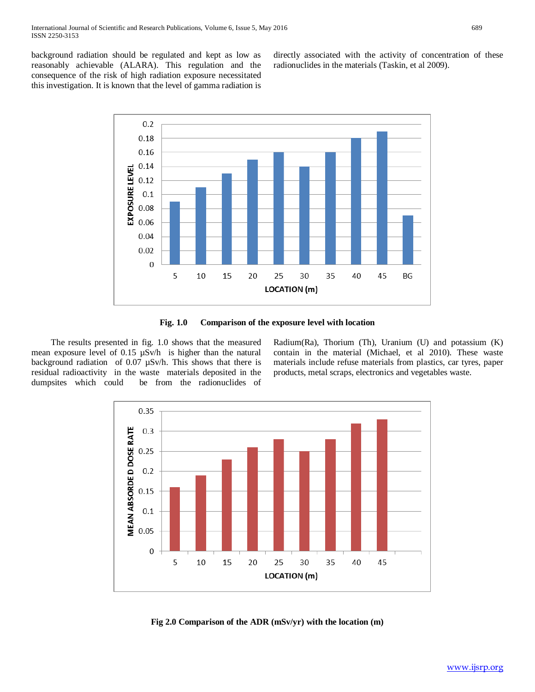background radiation should be regulated and kept as low as reasonably achievable (ALARA). This regulation and the consequence of the risk of high radiation exposure necessitated this investigation. It is known that the level of gamma radiation is directly associated with the activity of concentration of these radionuclides in the materials (Taskin, et al 2009).



**Fig. 1.0 Comparison of the exposure level with location**

 The results presented in fig. 1.0 shows that the measured mean exposure level of 0.15 µSv/h is higher than the natural background radiation of 0.07 µSv/h. This shows that there is residual radioactivity in the waste materials deposited in the dumpsites which could be from the radionuclides of Radium(Ra), Thorium (Th), Uranium (U) and potassium (K) contain in the material (Michael, et al 2010). These waste materials include refuse materials from plastics, car tyres, paper products, metal scraps, electronics and vegetables waste.



**Fig 2.0 Comparison of the ADR (mSv/yr) with the location (m)**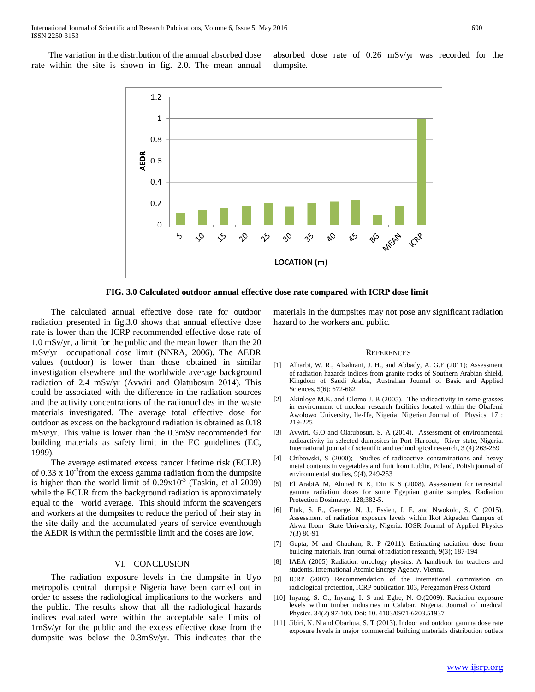The variation in the distribution of the annual absorbed dose rate within the site is shown in fig. 2.0. The mean annual absorbed dose rate of 0.26 mSv/yr was recorded for the dumpsite.



**FIG. 3.0 Calculated outdoor annual effective dose rate compared with ICRP dose limit**

 The calculated annual effective dose rate for outdoor radiation presented in fig.3.0 shows that annual effective dose rate is lower than the ICRP recommended effective dose rate of 1.0 mSv/yr, a limit for the public and the mean lower than the 20 mSv/yr occupational dose limit (NNRA, 2006). The AEDR values (outdoor) is lower than those obtained in similar investigation elsewhere and the worldwide average background radiation of 2.4 mSv/yr (Avwiri and Olatubosun 2014). This could be associated with the difference in the radiation sources and the activity concentrations of the radionuclides in the waste materials investigated. The average total effective dose for outdoor as excess on the background radiation is obtained as 0.18 mSv/yr. This value is lower than the 0.3mSv recommended for building materials as safety limit in the EC guidelines (EC, 1999).

 The average estimated excess cancer lifetime risk (ECLR) of 0.33 x  $10^{-3}$  from the excess gamma radiation from the dumpsite is higher than the world limit of  $0.29x10^{-3}$  (Taskin, et al 2009) while the ECLR from the background radiation is approximately equal to the world average. This should inform the scavengers and workers at the dumpsites to reduce the period of their stay in the site daily and the accumulated years of service eventhough the AEDR is within the permissible limit and the doses are low.

#### VI. CONCLUSION

 The radiation exposure levels in the dumpsite in Uyo metropolis central dumpsite Nigeria have been carried out in order to assess the radiological implications to the workers and the public. The results show that all the radiological hazards indices evaluated were within the acceptable safe limits of 1mSv/yr for the public and the excess effective dose from the dumpsite was below the 0.3mSv/yr. This indicates that the

materials in the dumpsites may not pose any significant radiation hazard to the workers and public.

#### **REFERENCES**

- [1] Alharbi, W. R., Alzahrani, J. H., and Abbady, A. G.E (2011); Assessment of radiation hazards indices from granite rocks of Southern Arabian shield, Kingdom of Saudi Arabia, Australian Journal of Basic and Applied Sciences, 5(6): 672-682
- [2] Akinloye M.K. and Olomo J. B (2005). The radioactivity in some grasses in environment of nuclear research facilities located within the Obafemi Awolowo University, Ile-Ife, Nigeria. Nigerian Journal of Physics. 17 : 219-225
- [3] Avwiri, G.O and Olatubosun, S. A (2014). Assessment of environmental radioactivity in selected dumpsites in Port Harcout, River state, Nigeria. International journal of scientific and technological research, 3 (4) 263-269
- [4] Chibowski, S (2000); Studies of radioactive contaminations and heavy metal contents in vegetables and fruit from Lublin, Poland, Polish journal of environmental studies, 9(4), 249-253
- [5] El ArabiA M, Ahmed N K, Din K S (2008). Assessment for terrestrial gamma radiation doses for some Egyptian granite samples. Radiation Protection Dosimetry. 128;382-5.
- [6] Etuk, S. E., George, N. J., Essien, I. E. and Nwokolo, S. C (2015). Assessment of radiation exposure levels within Ikot Akpaden Campus of Akwa Ibom State University, Nigeria. IOSR Journal of Applied Physics 7(3) 86-91
- [7] Gupta, M and Chauhan, R. P (2011): Estimating radiation dose from building materials. Iran journal of radiation research, 9(3); 187-194
- [8] IAEA (2005) Radiation oncology physics: A handbook for teachers and students. International Atomic Energy Agency. Vienna.
- [9] ICRP (2007) Recommendation of the international commission on radiological protection, ICRP publication 103, Peregamon Press Oxford
- [10] Inyang, S. O., Inyang, I. S and Egbe, N. O.(2009). Radiation exposure levels within timber industries in Calabar, Nigeria. Journal of medical Physics. 34(2) 97-100. Doi: 10. 4103/0971-6203.51937
- [11] Jibiri, N. N and Obarhua, S. T (2013). Indoor and outdoor gamma dose rate exposure levels in major commercial building materials distribution outlets